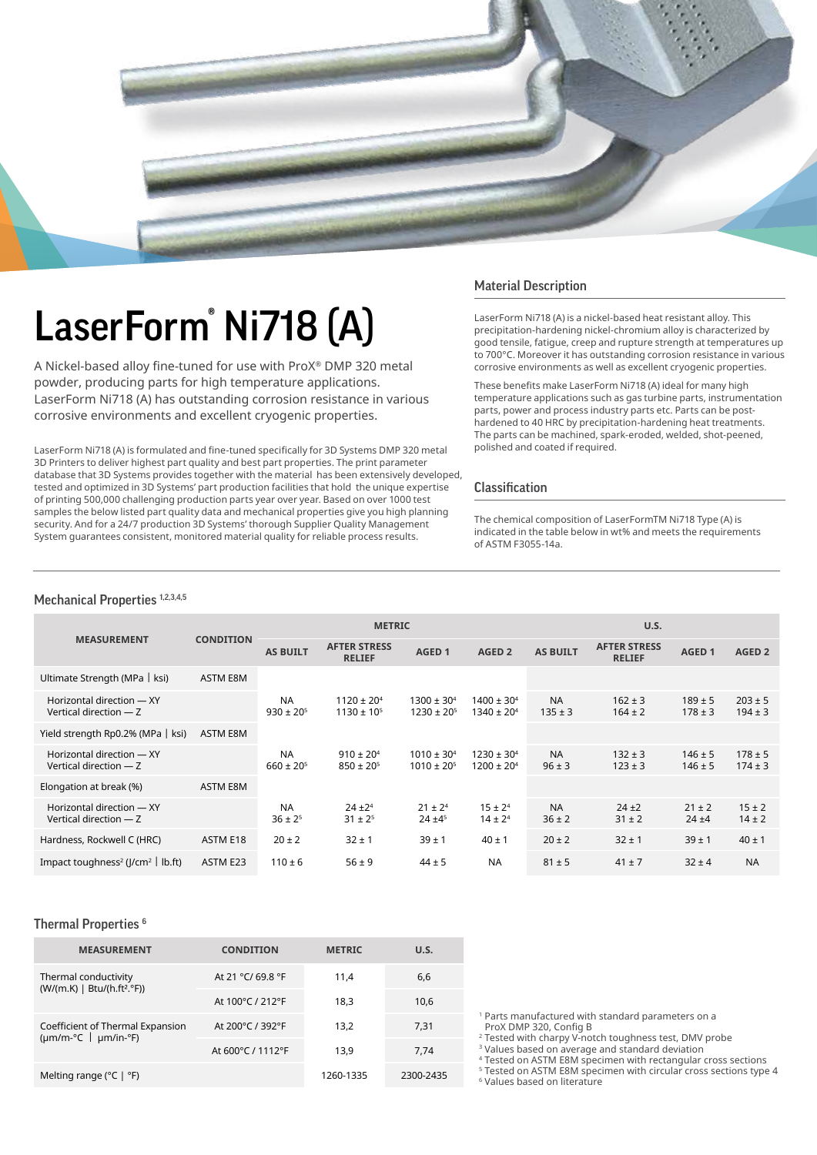

# LaserForm® Ni718 (A)

A Nickel-based alloy fine-tuned for use with ProX® DMP 320 metal powder, producing parts for high temperature applications. LaserForm Ni718 (A) has outstanding corrosion resistance in various corrosive environments and excellent cryogenic properties.

LaserForm Ni718 (A) is formulated and fine-tuned specifically for 3D Systems DMP 320 metal 3D Printers to deliver highest part quality and best part properties. The print parameter database that 3D Systems provides together with the material has been extensively developed, tested and optimized in 3D Systems' part production facilities that hold the unique expertise of printing 500,000 challenging production parts year over year. Based on over 1000 test samples the below listed part quality data and mechanical properties give you high planning security. And for a 24/7 production 3D Systems' thorough Supplier Quality Management System guarantees consistent, monitored material quality for reliable process results.

#### Material Description

LaserForm Ni718 (A) is a nickel-based heat resistant alloy. This precipitation-hardening nickel-chromium alloy is characterized by good tensile, fatigue, creep and rupture strength at temperatures up to 700°C. Moreover it has outstanding corrosion resistance in various corrosive environments as well as excellent cryogenic properties.

These benefits make LaserForm Ni718 (A) ideal for many high temperature applications such as gas turbine parts, instrumentation parts, power and process industry parts etc. Parts can be posthardened to 40 HRC by precipitation-hardening heat treatments. The parts can be machined, spark-eroded, welded, shot-peened, polished and coated if required.

#### Classification

The chemical composition of LaserFormTM Ni718 Type (A) is indicated in the table below in wt% and meets the requirements of ASTM F3055-14a.

### Mechanical Properties 1,2,3,4,5

|                                                           |                  | <b>METRIC</b>                 |                                        |                                        |                                        | U.S.                     |                                      |                            |                            |
|-----------------------------------------------------------|------------------|-------------------------------|----------------------------------------|----------------------------------------|----------------------------------------|--------------------------|--------------------------------------|----------------------------|----------------------------|
| <b>MEASUREMENT</b>                                        | <b>CONDITION</b> | <b>AS BUILT</b>               | <b>AFTER STRESS</b><br><b>RELIEF</b>   | AGED <sub>1</sub>                      | AGED <sub>2</sub>                      | <b>AS BUILT</b>          | <b>AFTER STRESS</b><br><b>RELIEF</b> | AGED <sub>1</sub>          | AGED <sub>2</sub>          |
| Ultimate Strength (MPa   ksi)                             | <b>ASTM E8M</b>  |                               |                                        |                                        |                                        |                          |                                      |                            |                            |
| Horizontal direction - XY<br>Vertical direction - Z       |                  | <b>NA</b><br>$930 \pm 20^{5}$ | $1120 \pm 20^{4}$<br>$1130 \pm 10^{5}$ | $1300 \pm 30^{4}$<br>$1230 \pm 20^{5}$ | $1400 \pm 30^{4}$<br>$1340 \pm 20^{4}$ | <b>NA</b><br>$135 \pm 3$ | $162 \pm 3$<br>$164 \pm 2$           | $189 \pm 5$<br>$178 \pm 3$ | $203 \pm 5$<br>$194 \pm 3$ |
| Yield strength Rp0.2% (MPa   ksi)                         | <b>ASTM E8M</b>  |                               |                                        |                                        |                                        |                          |                                      |                            |                            |
| Horizontal direction - XY<br>Vertical direction - Z       |                  | <b>NA</b><br>$660 \pm 20^{5}$ | $910 \pm 20^{4}$<br>$850 \pm 20^{5}$   | $1010 \pm 30^{4}$<br>$1010 \pm 20^{5}$ | $1230 \pm 30^{4}$<br>$1200 \pm 20^{4}$ | <b>NA</b><br>$96 \pm 3$  | $132 \pm 3$<br>$123 \pm 3$           | $146 \pm 5$<br>$146 \pm 5$ | $178 \pm 5$<br>$174 \pm 3$ |
| Elongation at break (%)                                   | <b>ASTM E8M</b>  |                               |                                        |                                        |                                        |                          |                                      |                            |                            |
| Horizontal direction - XY<br>Vertical direction - Z       |                  | <b>NA</b><br>$36 \pm 2^5$     | $24 + 2^4$<br>$31 \pm 2^5$             | $21 \pm 2^4$<br>$24 \pm 4^5$           | $15 \pm 2^4$<br>$14 \pm 2^4$           | <b>NA</b><br>$36 \pm 2$  | $24 + 2$<br>$31 \pm 2$               | $21 \pm 2$<br>$24 + 4$     | $15 \pm 2$<br>$14 \pm 2$   |
| Hardness, Rockwell C (HRC)                                | ASTM E18         | $20 \pm 2$                    | $32 \pm 1$                             | $39 + 1$                               | $40 \pm 1$                             | $20 \pm 2$               | $32 \pm 1$                           | $39 \pm 1$                 | $40 \pm 1$                 |
| Impact toughness <sup>2</sup> (J/cm <sup>2</sup>   lb.ft) | ASTM E23         | $110 \pm 6$                   | $56 \pm 9$                             | $44 \pm 5$                             | <b>NA</b>                              | $81 \pm 5$               | $41 \pm 7$                           | $32 \pm 4$                 | <b>NA</b>                  |

#### Thermal Properties<sup>6</sup>

| <b>MEASUREMENT</b>                                                              | <b>CONDITION</b>  | <b>METRIC</b> | U.S.      |
|---------------------------------------------------------------------------------|-------------------|---------------|-----------|
| Thermal conductivity<br>(W/(m.K)   Btu/(h.ft <sup>2</sup> .°F))                 | At 21 °C/ 69.8 °F | 11.4          | 6,6       |
|                                                                                 | At 100°C / 212°F  | 18,3          | 10,6      |
| Coefficient of Thermal Expansion<br>$(\mu m/m^{\circ}C \mid \mu m/in^{\circ}F)$ | At 200°C / 392°F  | 13.2          | 7,31      |
|                                                                                 | At 600°C / 1112°F | 13.9          | 7.74      |
| Melting range ( $^{\circ}$ C   $^{\circ}$ F)                                    |                   | 1260-1335     | 2300-2435 |

1 Parts manufactured with standard parameters on a ProX DMP 320, Config B

<sup>2</sup> Tested with charpy V-notch toughness test, DMV probe

3 Values based on average and standard deviation

4 Tested on ASTM E8M specimen with rectangular cross sections

5 Tested on ASTM E8M specimen with circular cross sections type 4

6 Values based on literature